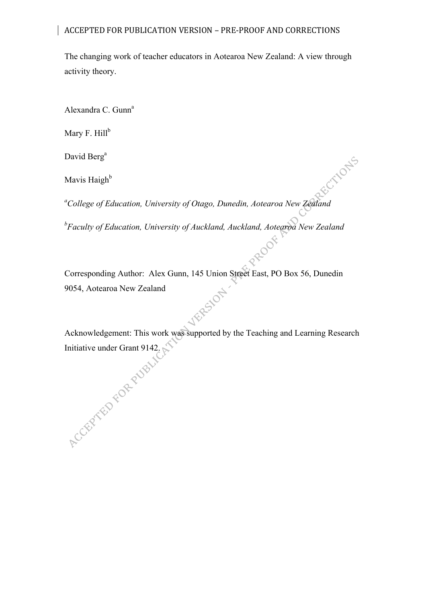The changing work of teacher educators in Aotearoa New Zealand: A view through activity theory.

Alexandra C. Gunn<sup>a</sup>

Mary F.  $Hill^b$ 

David Berg<sup>a</sup>

Mavis Haigh $<sup>b</sup>$ </sup>

*a College of Education, University of Otago, Dunedin, Aotearoa New Zealand*

*b Faculty of Education, University of Auckland, Auckland, Aotearoa New Zealand*

Corresponding Author: Alex Gunn, 145 Union Street East, PO Box 56, Dunedin 9054, Aotearoa New Zealand Acknowledgement: This work was supported by the Teaching and Learning Research

Initiative under Grant 9142.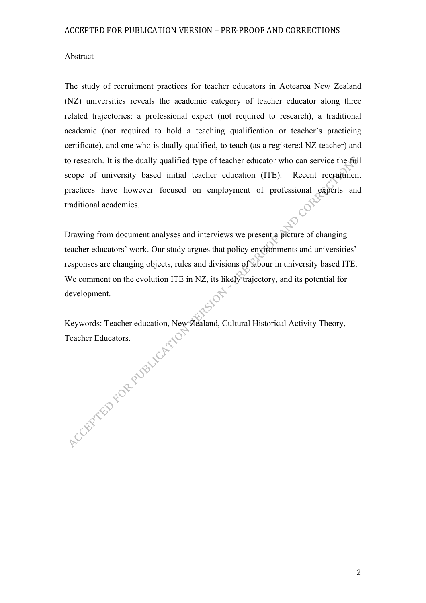## Abstract

The study of recruitment practices for teacher educators in Aotearoa New Zealand (NZ) universities reveals the academic category of teacher educator along three related trajectories: a professional expert (not required to research), a traditional academic (not required to hold a teaching qualification or teacher's practicing certificate), and one who is dually qualified, to teach (as a registered NZ teacher) and to research. It is the dually qualified type of teacher educator who can service the full scope of university based initial teacher education (ITE). Recent recruitment practices have however focused on employment of professional experts and CORL traditional academics.

Drawing from document analyses and interviews we present a picture of changing teacher educators' work. Our study argues that policy environments and universities' responses are changing objects, rules and divisions of labour in university based ITE. We comment on the evolution ITE in NZ, its likely trajectory, and its potential for development.

 $\mathcal{S}$ 

Keywords: Teacher education, New Zealand, Cultural Historical Activity Theory, Accept Fibre Republicanion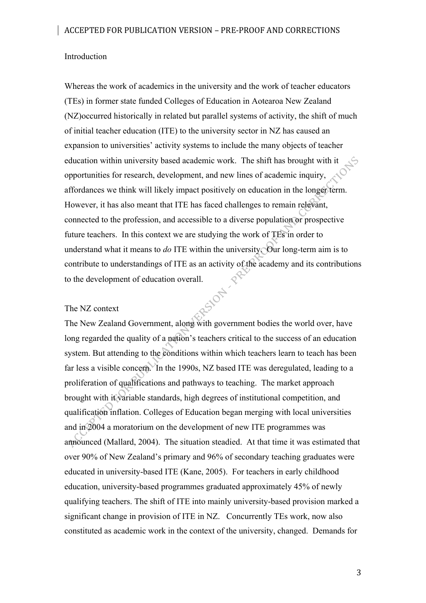#### Introduction

Whereas the work of academics in the university and the work of teacher educators (TEs) in former state funded Colleges of Education in Aotearoa New Zealand (NZ)occurred historically in related but parallel systems of activity, the shift of much of initial teacher education (ITE) to the university sector in NZ has caused an expansion to universities' activity systems to include the many objects of teacher education within university based academic work. The shift has brought with it opportunities for research, development, and new lines of academic inquiry, affordances we think will likely impact positively on education in the longer term. However, it has also meant that ITE has faced challenges to remain relevant, connected to the profession, and accessible to a diverse population or prospective future teachers. In this context we are studying the work of TEs in order to understand what it means to  $d\sigma$  ITE within the university. Our long-term aim is to contribute to understandings of ITE as an activity of the academy and its contributions<br>to the development of education overall.<br>The NZ context to the development of education overall.

#### The NZ context

The New Zealand Government, along with government bodies the world over, have long regarded the quality of a nation's teachers critical to the success of an education system. But attending to the conditions within which teachers learn to teach has been far less a visible concern. In the 1990s, NZ based ITE was deregulated, leading to a proliferation of qualifications and pathways to teaching. The market approach brought with it variable standards, high degrees of institutional competition, and qualification inflation. Colleges of Education began merging with local universities and in 2004 a moratorium on the development of new ITE programmes was announced (Mallard, 2004). The situation steadied. At that time it was estimated that over 90% of New Zealand's primary and 96% of secondary teaching graduates were educated in university-based ITE (Kane, 2005). For teachers in early childhood education, university-based programmes graduated approximately 45% of newly qualifying teachers. The shift of ITE into mainly university-based provision marked a significant change in provision of ITE in NZ. Concurrently TEs work, now also constituted as academic work in the context of the university, changed. Demands for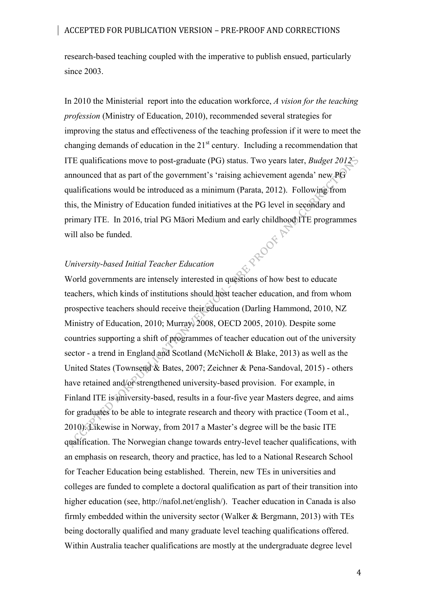research-based teaching coupled with the imperative to publish ensued, particularly since 2003.

In 2010 the Ministerial report into the education workforce, *A vision for the teaching profession* (Ministry of Education, 2010), recommended several strategies for improving the status and effectiveness of the teaching profession if it were to meet the changing demands of education in the  $21<sup>st</sup>$  century. Including a recommendation that ITE qualifications move to post-graduate (PG) status. Two years later, *Budget 2012* announced that as part of the government's 'raising achievement agenda' new PG qualifications would be introduced as a minimum (Parata, 2012). Following from this, the Ministry of Education funded initiatives at the PG level in secondary and primary ITE. In 2016, trial PG Māori Medium and early childhood ITE programmes<br>will also be funded.<br>University-based Initial Terrel will also be funded.

## *University-based Initial Teacher Education*

World governments are intensely interested in questions of how best to educate teachers, which kinds of institutions should host teacher education, and from whom prospective teachers should receive their education (Darling Hammond, 2010, NZ Ministry of Education, 2010; Murray, 2008, OECD 2005, 2010). Despite some countries supporting a shift of programmes of teacher education out of the university sector - a trend in England and Scotland (McNicholl & Blake, 2013) as well as the United States (Townsend & Bates, 2007; Zeichner & Pena-Sandoval, 2015) - others have retained and/or strengthened university-based provision. For example, in Finland ITE is university-based, results in a four-five year Masters degree, and aims for graduates to be able to integrate research and theory with practice (Toom et al., 2010). Likewise in Norway, from 2017 a Master's degree will be the basic ITE qualification. The Norwegian change towards entry-level teacher qualifications, with an emphasis on research, theory and practice, has led to a National Research School for Teacher Education being established. Therein, new TEs in universities and colleges are funded to complete a doctoral qualification as part of their transition into higher education (see, http://nafol.net/english/). Teacher education in Canada is also firmly embedded within the university sector (Walker & Bergmann, 2013) with TEs being doctorally qualified and many graduate level teaching qualifications offered. Within Australia teacher qualifications are mostly at the undergraduate degree level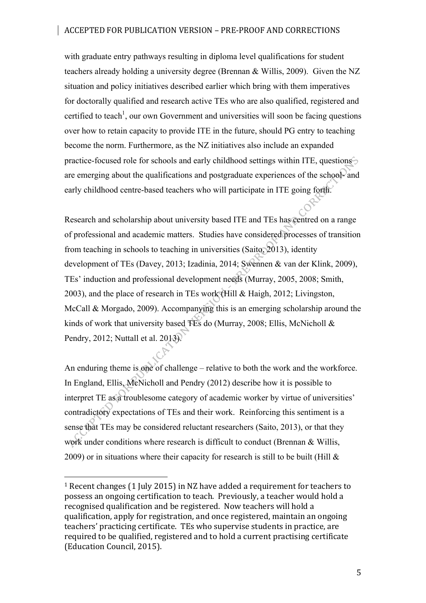with graduate entry pathways resulting in diploma level qualifications for student teachers already holding a university degree (Brennan & Willis, 2009). Given the NZ situation and policy initiatives described earlier which bring with them imperatives for doctorally qualified and research active TEs who are also qualified, registered and certified to teach<sup>1</sup>, our own Government and universities will soon be facing questions over how to retain capacity to provide ITE in the future, should PG entry to teaching become the norm. Furthermore, as the NZ initiatives also include an expanded practice-focused role for schools and early childhood settings within ITE, questions are emerging about the qualifications and postgraduate experiences of the school- and early childhood centre-based teachers who will participate in ITE going forth.

Research and scholarship about university based ITE and TEs has centred on a range of professional and academic matters. Studies have considered processes of transition from teaching in schools to teaching in universities (Saito, 2013), identity development of TEs (Davey, 2013; Izadinia, 2014; Swennen & van der Klink, 2009), TEs' induction and professional development needs (Murray, 2005, 2008; Smith, 2003), and the place of research in TEs work (Hill & Haigh, 2012; Livingston, McCall & Morgado, 2009). Accompanying this is an emerging scholarship around the kinds of work that university based TEs do (Murray, 2008; Ellis, McNicholl & Pendry, 2012; Nuttall et al. 2013).

An enduring theme is one of challenge – relative to both the work and the workforce. In England, Ellis, McNicholl and Pendry (2012) describe how it is possible to interpret TE as a troublesome category of academic worker by virtue of universities' contradictory expectations of TEs and their work. Reinforcing this sentiment is a sense that TEs may be considered reluctant researchers (Saito, 2013), or that they work under conditions where research is difficult to conduct (Brennan & Willis, 2009) or in situations where their capacity for research is still to be built (Hill  $\&$ 

 

<sup>&</sup>lt;sup>1</sup> Recent changes  $(1 \text{ July } 2015)$  in NZ have added a requirement for teachers to possess an ongoing certification to teach. Previously, a teacher would hold a recognised qualification and be registered. Now teachers will hold a qualification, apply for registration, and once registered, maintain an ongoing teachers' practicing certificate. TEs who supervise students in practice, are required to be qualified, registered and to hold a current practising certificate (Education Council, 2015).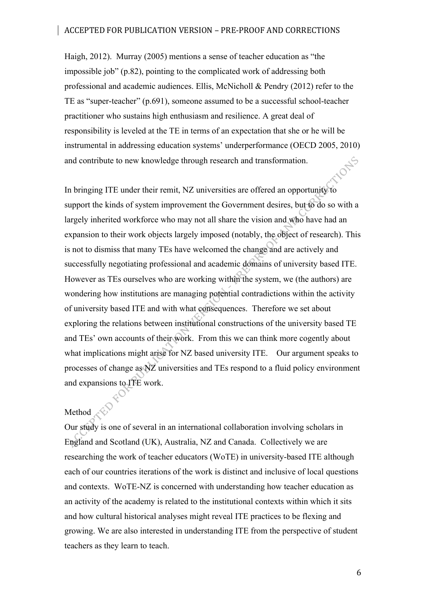Haigh, 2012). Murray (2005) mentions a sense of teacher education as "the impossible job" (p.82), pointing to the complicated work of addressing both professional and academic audiences. Ellis, McNicholl & Pendry (2012) refer to the TE as "super-teacher" (p.691), someone assumed to be a successful school-teacher practitioner who sustains high enthusiasm and resilience. A great deal of responsibility is leveled at the TE in terms of an expectation that she or he will be instrumental in addressing education systems' underperformance (OECD 2005, 2010) and contribute to new knowledge through research and transformation.

In bringing ITE under their remit, NZ universities are offered an opportunity to support the kinds of system improvement the Government desires, but to do so with a largely inherited workforce who may not all share the vision and who have had an expansion to their work objects largely imposed (notably, the object of research). This is not to dismiss that many TEs have welcomed the change and are actively and successfully negotiating professional and academic domains of university based ITE. However as TEs ourselves who are working within the system, we (the authors) are wondering how institutions are managing potential contradictions within the activity of university based ITE and with what consequences. Therefore we set about exploring the relations between institutional constructions of the university based TE and TEs' own accounts of their work. From this we can think more cogently about what implications might arise for NZ based university ITE. Our argument speaks to processes of change as NZ universities and TEs respond to a fluid policy environment and expansions to ITE work.

## Method A

Our study is one of several in an international collaboration involving scholars in England and Scotland (UK), Australia, NZ and Canada. Collectively we are researching the work of teacher educators (WoTE) in university-based ITE although each of our countries iterations of the work is distinct and inclusive of local questions and contexts. WoTE-NZ is concerned with understanding how teacher education as an activity of the academy is related to the institutional contexts within which it sits and how cultural historical analyses might reveal ITE practices to be flexing and growing. We are also interested in understanding ITE from the perspective of student teachers as they learn to teach.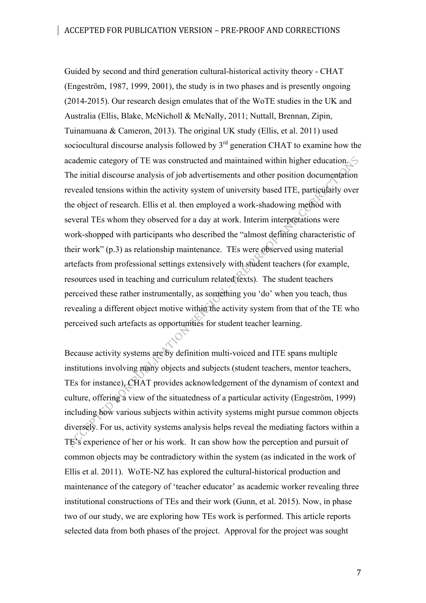Guided by second and third generation cultural-historical activity theory - CHAT (Engeström, 1987, 1999, 2001), the study is in two phases and is presently ongoing (2014-2015). Our research design emulates that of the WoTE studies in the UK and Australia (Ellis, Blake, McNicholl & McNally, 2011; Nuttall, Brennan, Zipin, Tuinamuana & Cameron, 2013). The original UK study (Ellis, et al. 2011) used sociocultural discourse analysis followed by 3<sup>rd</sup> generation CHAT to examine how the academic category of TE was constructed and maintained within higher education. The initial discourse analysis of job advertisements and other position documentation revealed tensions within the activity system of university based ITE, particularly over the object of research. Ellis et al. then employed a work-shadowing method with several TEs whom they observed for a day at work. Interim interpretations were work-shopped with participants who described the "almost defining characteristic of their work" (p.3) as relationship maintenance. TEs were observed using material artefacts from professional settings extensively with student teachers (for example, resources used in teaching and curriculum related texts). The student teachers perceived these rather instrumentally, as something you 'do' when you teach, thus revealing a different object motive within the activity system from that of the TE who perceived such artefacts as opportunities for student teacher learning.

Because activity systems are by definition multi-voiced and ITE spans multiple institutions involving many objects and subjects (student teachers, mentor teachers, TEs for instance), CHAT provides acknowledgement of the dynamism of context and culture, offering a view of the situatedness of a particular activity (Engeström, 1999) including how various subjects within activity systems might pursue common objects diversely. For us, activity systems analysis helps reveal the mediating factors within a TE's experience of her or his work. It can show how the perception and pursuit of common objects may be contradictory within the system (as indicated in the work of Ellis et al. 2011). WoTE-NZ has explored the cultural-historical production and maintenance of the category of 'teacher educator' as academic worker revealing three institutional constructions of TEs and their work (Gunn, et al. 2015). Now, in phase two of our study, we are exploring how TEs work is performed. This article reports selected data from both phases of the project. Approval for the project was sought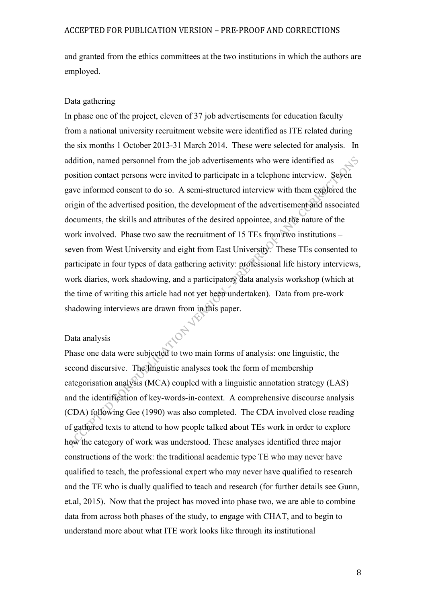and granted from the ethics committees at the two institutions in which the authors are employed.

## Data gathering

In phase one of the project, eleven of 37 job advertisements for education faculty from a national university recruitment website were identified as ITE related during the six months 1 October 2013-31 March 2014. These were selected for analysis. In addition, named personnel from the job advertisements who were identified as  $\zeta$ position contact persons were invited to participate in a telephone interview. Seven gave informed consent to do so. A semi-structured interview with them explored the origin of the advertised position, the development of the advertisement and associated documents, the skills and attributes of the desired appointee, and the nature of the work involved. Phase two saw the recruitment of 15 TEs from two institutions – seven from West University and eight from East University. These TEs consented to participate in four types of data gathering activity: professional life history interviews, work diaries, work shadowing, and a participatory data analysis workshop (which at the time of writing this article had not yet been undertaken). Data from pre-work shadowing interviews are drawn from in this paper.

#### Data analysis

Phase one data were subjected to two main forms of analysis: one linguistic, the second discursive. The linguistic analyses took the form of membership categorisation analysis (MCA) coupled with a linguistic annotation strategy (LAS) and the identification of key-words-in-context. A comprehensive discourse analysis (CDA) following Gee (1990) was also completed. The CDA involved close reading of gathered texts to attend to how people talked about TEs work in order to explore how the category of work was understood. These analyses identified three major constructions of the work: the traditional academic type TE who may never have qualified to teach, the professional expert who may never have qualified to research and the TE who is dually qualified to teach and research (for further details see Gunn, et.al, 2015). Now that the project has moved into phase two, we are able to combine data from across both phases of the study, to engage with CHAT, and to begin to understand more about what ITE work looks like through its institutional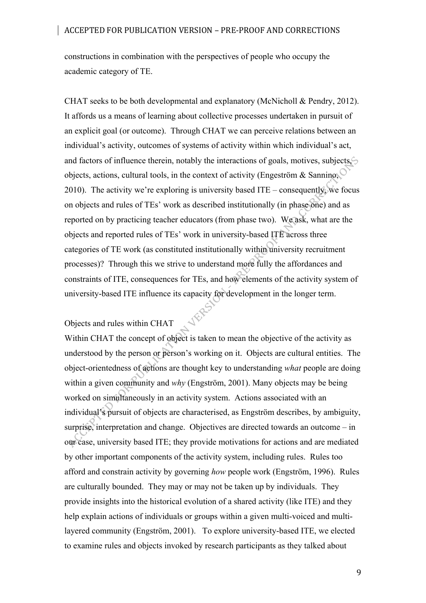constructions in combination with the perspectives of people who occupy the academic category of TE.

CHAT seeks to be both developmental and explanatory (McNicholl & Pendry, 2012). It affords us a means of learning about collective processes undertaken in pursuit of an explicit goal (or outcome). Through CHAT we can perceive relations between an individual's activity, outcomes of systems of activity within which individual's act, and factors of influence therein, notably the interactions of goals, motives, subjects,  $\hat{\mathcal{L}}$ objects, actions, cultural tools, in the context of activity (Engeström  $\&$  Sannino, 2010). The activity we're exploring is university based ITE – consequently, we focus on objects and rules of TEs' work as described institutionally (in phase one) and as reported on by practicing teacher educators (from phase two). We ask, what are the objects and reported rules of TEs' work in university-based ITE across three categories of TE work (as constituted institutionally within university recruitment processes)? Through this we strive to understand more fully the affordances and constraints of ITE, consequences for TEs, and how elements of the activity system of university-based ITE influence its capacity for development in the longer term.

## Objects and rules within CHAT

Within CHAT the concept of object is taken to mean the objective of the activity as understood by the person or person's working on it. Objects are cultural entities. The object-orientedness of actions are thought key to understanding *what* people are doing within a given community and *why* (Engström, 2001). Many objects may be being worked on simultaneously in an activity system. Actions associated with an individual's pursuit of objects are characterised, as Engström describes, by ambiguity, surprise, interpretation and change. Objectives are directed towards an outcome – in our case, university based ITE; they provide motivations for actions and are mediated by other important components of the activity system, including rules. Rules too afford and constrain activity by governing *how* people work (Engström, 1996). Rules are culturally bounded. They may or may not be taken up by individuals. They provide insights into the historical evolution of a shared activity (like ITE) and they help explain actions of individuals or groups within a given multi-voiced and multilayered community (Engström, 2001). To explore university-based ITE, we elected to examine rules and objects invoked by research participants as they talked about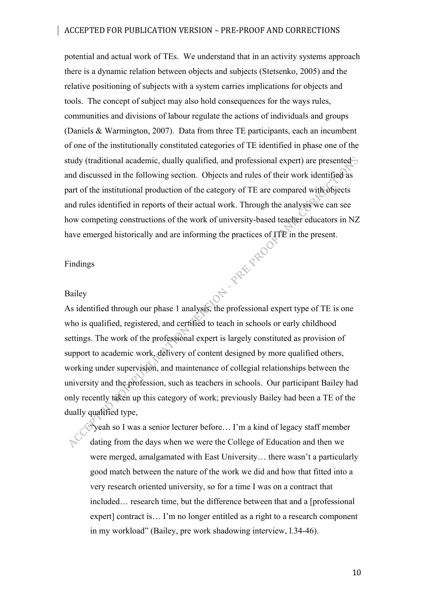potential and actual work of TEs. We understand that in an activity systems approach there is a dynamic relation between objects and subjects (Stetsenko, 2005) and the relative positioning of subjects with a system carries implications for objects and tools. The concept of subject may also hold consequences for the ways rules, communities and divisions of labour regulate the actions of individuals and groups (Daniels & Warmington, 2007). Data from three TE participants, each an incumbent of one of the institutionally constituted categories of TE identified in phase one of the study (traditional academic, dually qualified, and professional expert) are presented and discussed in the following section. Objects and rules of their work identified as part of the institutional production of the category of TE are compared with objects and rules identified in reports of their actual work. Through the analysis we can see how competing constructions of the work of university-based teacher educators in NZ have emerged historically and are informing the practices of ITE in the present.<br>Findings<br>Bailey<br>Aci:

#### Findings

#### Bailey

As identified through our phase 1 analysis, the professional expert type of TE is one who is qualified, registered, and certified to teach in schools or early childhood settings. The work of the professional expert is largely constituted as provision of support to academic work, delivery of content designed by more qualified others, working under supervision, and maintenance of collegial relationships between the university and the profession, such as teachers in schools. Our participant Bailey had only recently taken up this category of work; previously Bailey had been a TE of the dually qualified type,

 $\Diamond^*$  yeah so I was a senior lecturer before... I'm a kind of legacy staff member dating from the days when we were the College of Education and then we were merged, amalgamated with East University… there wasn't a particularly good match between the nature of the work we did and how that fitted into a very research oriented university, so for a time I was on a contract that included… research time, but the difference between that and a [professional expert] contract is… I'm no longer entitled as a right to a research component in my workload" (Bailey, pre work shadowing interview, l.34-46).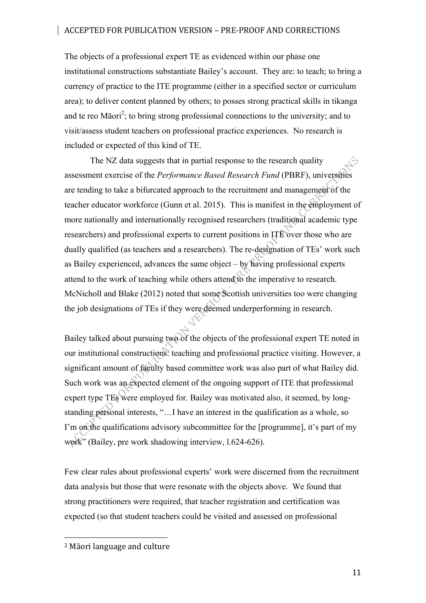The objects of a professional expert TE as evidenced within our phase one institutional constructions substantiate Bailey's account. They are: to teach; to bring a currency of practice to the ITE programme (either in a specified sector or curriculum area); to deliver content planned by others; to posses strong practical skills in tikanga and te reo Māori<sup>2</sup>; to bring strong professional connections to the university; and to visit/assess student teachers on professional practice experiences. No research is included or expected of this kind of TE.

The NZ data suggests that in partial response to the research quality assessment exercise of the *Performance Based Research Fund* (PBRF), universities are tending to take a bifurcated approach to the recruitment and management of the teacher educator workforce (Gunn et al. 2015). This is manifest in the employment of more nationally and internationally recognised researchers (traditional academic type researchers) and professional experts to current positions in ITE over those who are dually qualified (as teachers and a researchers). The re-designation of TEs' work such as Bailey experienced, advances the same object – by having professional experts attend to the work of teaching while others attend to the imperative to research. McNicholl and Blake (2012) noted that some Scottish universities too were changing the job designations of TEs if they were deemed underperforming in research.

Bailey talked about pursuing two of the objects of the professional expert TE noted in our institutional constructions: teaching and professional practice visiting. However, a significant amount of faculty based committee work was also part of what Bailey did. Such work was an expected element of the ongoing support of ITE that professional expert type TEs were employed for. Bailey was motivated also, it seemed, by longstanding personal interests, "…I have an interest in the qualification as a whole, so I'm on the qualifications advisory subcommittee for the [programme], it's part of my work" (Bailey, pre work shadowing interview, l.624-626).

Few clear rules about professional experts' work were discerned from the recruitment data analysis but those that were resonate with the objects above. We found that strong practitioners were required, that teacher registration and certification was expected (so that student teachers could be visited and assessed on professional

 <sup>2</sup> Māori language and culture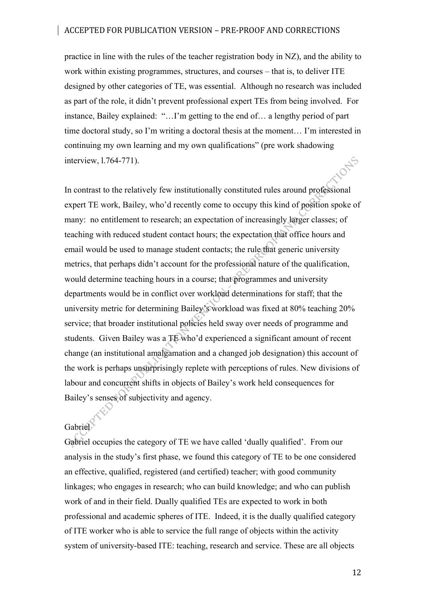practice in line with the rules of the teacher registration body in NZ), and the ability to work within existing programmes, structures, and courses – that is, to deliver ITE designed by other categories of TE, was essential. Although no research was included as part of the role, it didn't prevent professional expert TEs from being involved. For instance, Bailey explained: "…I'm getting to the end of… a lengthy period of part time doctoral study, so I'm writing a doctoral thesis at the moment… I'm interested in continuing my own learning and my own qualifications" (pre work shadowing **10 NS** interview, l.764-771).

In contrast to the relatively few institutionally constituted rules around professional expert TE work, Bailey, who'd recently come to occupy this kind of position spoke of many: no entitlement to research; an expectation of increasingly larger classes; of teaching with reduced student contact hours; the expectation that office hours and email would be used to manage student contacts; the rule that generic university metrics, that perhaps didn't account for the professional nature of the qualification, would determine teaching hours in a course; that programmes and university departments would be in conflict over workload determinations for staff; that the university metric for determining Bailey's workload was fixed at 80% teaching 20% service; that broader institutional policies held sway over needs of programme and students. Given Bailey was a TE who'd experienced a significant amount of recent change (an institutional amalgamation and a changed job designation) this account of the work is perhaps unsurprisingly replete with perceptions of rules. New divisions of labour and concurrent shifts in objects of Bailey's work held consequences for Bailey's senses of subjectivity and agency.

# Gabriel

Gabriel occupies the category of TE we have called 'dually qualified'. From our analysis in the study's first phase, we found this category of TE to be one considered an effective, qualified, registered (and certified) teacher; with good community linkages; who engages in research; who can build knowledge; and who can publish work of and in their field. Dually qualified TEs are expected to work in both professional and academic spheres of ITE. Indeed, it is the dually qualified category of ITE worker who is able to service the full range of objects within the activity system of university-based ITE: teaching, research and service. These are all objects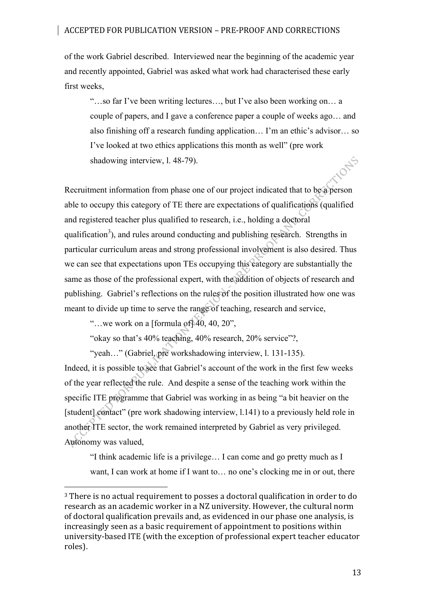of the work Gabriel described. Interviewed near the beginning of the academic year and recently appointed, Gabriel was asked what work had characterised these early first weeks,

"…so far I've been writing lectures…, but I've also been working on… a couple of papers, and I gave a conference paper a couple of weeks ago… and also finishing off a research funding application… I'm an ethic's advisor… so I've looked at two ethics applications this month as well" (pre work shadowing interview, l. 48-79).

Recruitment information from phase one of our project indicated that to be a person able to occupy this category of TE there are expectations of qualifications (qualified and registered teacher plus qualified to research, i.e., holding a doctoral qualification<sup>3</sup>), and rules around conducting and publishing research. Strengths in particular curriculum areas and strong professional involvement is also desired. Thus we can see that expectations upon TEs occupying this category are substantially the same as those of the professional expert, with the addition of objects of research and publishing. Gabriel's reflections on the rules of the position illustrated how one was meant to divide up time to serve the range of teaching, research and service,

"...we work on a [formula of  $\vert 40, 40, 20$ ",

 

"okay so that's 40% teaching, 40% research, 20% service"?,

"yeah…" (Gabriel, pre workshadowing interview, l. 131-135).

Indeed, it is possible to see that Gabriel's account of the work in the first few weeks of the year reflected the rule. And despite a sense of the teaching work within the specific ITE programme that Gabriel was working in as being "a bit heavier on the [student] contact" (pre work shadowing interview, 1.141) to a previously held role in another ITE sector, the work remained interpreted by Gabriel as very privileged. Autonomy was valued,

"I think academic life is a privilege… I can come and go pretty much as I want, I can work at home if I want to... no one's clocking me in or out, there

 $3$  There is no actual requirement to posses a doctoral qualification in order to do research as an academic worker in a NZ university. However, the cultural norm of doctoral qualification prevails and, as evidenced in our phase one analysis, is increasingly seen as a basic requirement of appointment to positions within university-based ITE (with the exception of professional expert teacher educator roles).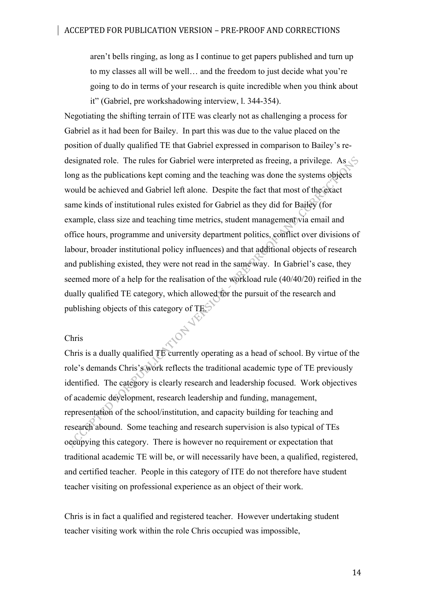aren't bells ringing, as long as I continue to get papers published and turn up to my classes all will be well… and the freedom to just decide what you're going to do in terms of your research is quite incredible when you think about it" (Gabriel, pre workshadowing interview, l. 344-354).

Negotiating the shifting terrain of ITE was clearly not as challenging a process for Gabriel as it had been for Bailey. In part this was due to the value placed on the position of dually qualified TE that Gabriel expressed in comparison to Bailey's redesignated role. The rules for Gabriel were interpreted as freeing, a privilege. As  $\circledcirc$ long as the publications kept coming and the teaching was done the systems objects would be achieved and Gabriel left alone. Despite the fact that most of the exact same kinds of institutional rules existed for Gabriel as they did for Bailey (for example, class size and teaching time metrics, student management via email and office hours, programme and university department politics, conflict over divisions of labour, broader institutional policy influences) and that additional objects of research and publishing existed, they were not read in the same way. In Gabriel's case, they seemed more of a help for the realisation of the workload rule (40/40/20) reified in the dually qualified TE category, which allowed for the pursuit of the research and publishing objects of this category of TES.<br>Chris

#### Chris

Chris is a dually qualified TE currently operating as a head of school. By virtue of the role's demands Chris's work reflects the traditional academic type of TE previously identified. The category is clearly research and leadership focused. Work objectives of academic development, research leadership and funding, management, representation of the school/institution, and capacity building for teaching and research abound. Some teaching and research supervision is also typical of TEs occupying this category. There is however no requirement or expectation that traditional academic TE will be, or will necessarily have been, a qualified, registered, and certified teacher. People in this category of ITE do not therefore have student teacher visiting on professional experience as an object of their work.

Chris is in fact a qualified and registered teacher. However undertaking student teacher visiting work within the role Chris occupied was impossible,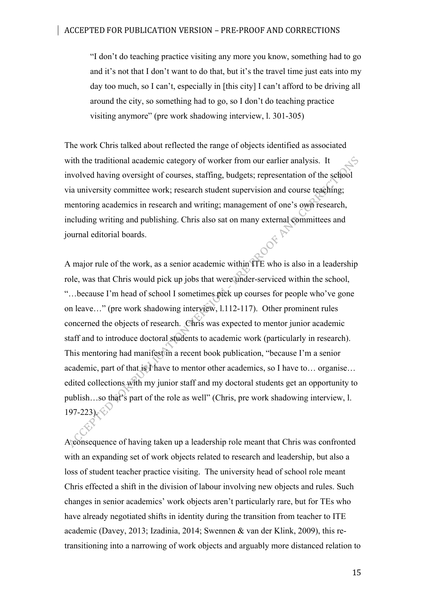"I don't do teaching practice visiting any more you know, something had to go and it's not that I don't want to do that, but it's the travel time just eats into my day too much, so I can't, especially in [this city] I can't afford to be driving all around the city, so something had to go, so I don't do teaching practice visiting anymore" (pre work shadowing interview, l. 301-305)

The work Chris talked about reflected the range of objects identified as associated with the traditional academic category of worker from our earlier analysis. It involved having oversight of courses, staffing, budgets; representation of the school via university committee work; research student supervision and course teaching; mentoring academics in research and writing; management of one's own research, including writing and publishing. Chris also sat on many external committees and journal editorial boards. journal editorial boards.

A major rule of the work, as a senior academic within ITE who is also in a leadership role, was that Chris would pick up jobs that were under-serviced within the school, "…because I'm head of school I sometimes pick up courses for people who've gone on leave…" (pre work shadowing interview, l.112-117). Other prominent rules concerned the objects of research. Chris was expected to mentor junior academic staff and to introduce doctoral students to academic work (particularly in research). This mentoring had manifest in a recent book publication, "because I'm a senior academic, part of that is I have to mentor other academics, so I have to... organise... edited collections with my junior staff and my doctoral students get an opportunity to publish…so that's part of the role as well" (Chris, pre work shadowing interview, l.  $197 - 223$ .

A consequence of having taken up a leadership role meant that Chris was confronted with an expanding set of work objects related to research and leadership, but also a loss of student teacher practice visiting. The university head of school role meant Chris effected a shift in the division of labour involving new objects and rules. Such changes in senior academics' work objects aren't particularly rare, but for TEs who have already negotiated shifts in identity during the transition from teacher to ITE academic (Davey, 2013; Izadinia, 2014; Swennen & van der Klink, 2009), this retransitioning into a narrowing of work objects and arguably more distanced relation to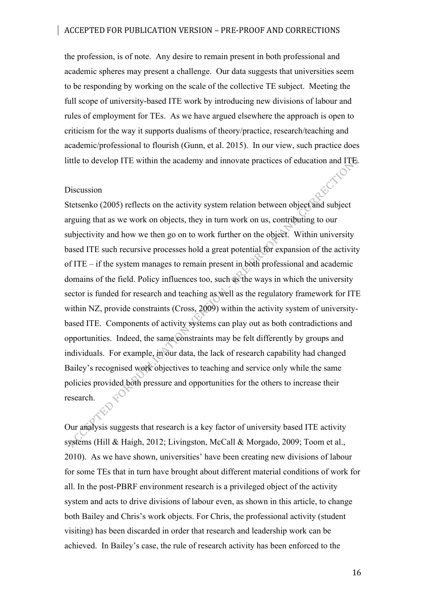the profession, is of note. Any desire to remain present in both professional and academic spheres may present a challenge. Our data suggests that universities seem to be responding by working on the scale of the collective TE subject. Meeting the full scope of university-based ITE work by introducing new divisions of labour and rules of employment for TEs. As we have argued elsewhere the approach is open to criticism for the way it supports dualisms of theory/practice, research/teaching and academic/professional to flourish (Gunn, et al. 2015). In our view, such practice does little to develop ITE within the academy and innovate practices of education and ITE.

#### Discussion

Stetsenko (2005) reflects on the activity system relation between object and subject arguing that as we work on objects, they in turn work on us, contributing to our subjectivity and how we then go on to work further on the object. Within university based ITE such recursive processes hold a great potential for expansion of the activity of ITE – if the system manages to remain present in both professional and academic domains of the field. Policy influences too, such as the ways in which the university sector is funded for research and teaching as well as the regulatory framework for ITE within NZ, provide constraints (Cross, 2009) within the activity system of universitybased ITE. Components of activity systems can play out as both contradictions and opportunities. Indeed, the same constraints may be felt differently by groups and individuals. For example, in our data, the lack of research capability had changed Bailey's recognised work objectives to teaching and service only while the same policies provided both pressure and opportunities for the others to increase their research.

Our analysis suggests that research is a key factor of university based ITE activity systems (Hill & Haigh, 2012; Livingston, McCall & Morgado, 2009; Toom et al., 2010). As we have shown, universities' have been creating new divisions of labour for some TEs that in turn have brought about different material conditions of work for all. In the post-PBRF environment research is a privileged object of the activity system and acts to drive divisions of labour even, as shown in this article, to change both Bailey and Chris's work objects. For Chris, the professional activity (student visiting) has been discarded in order that research and leadership work can be achieved. In Bailey's case, the rule of research activity has been enforced to the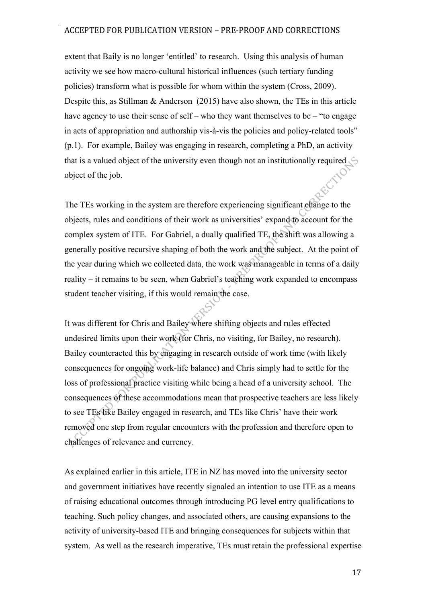extent that Baily is no longer 'entitled' to research. Using this analysis of human activity we see how macro-cultural historical influences (such tertiary funding policies) transform what is possible for whom within the system (Cross, 2009). Despite this, as Stillman & Anderson (2015) have also shown, the TEs in this article have agency to use their sense of self – who they want themselves to be – "to engage" in acts of appropriation and authorship vis-à-vis the policies and policy-related tools" (p.1). For example, Bailey was engaging in research, completing a PhD, an activity that is a valued object of the university even though not an institutionally required  $\Diamond$ object of the job.

The TEs working in the system are therefore experiencing significant change to the objects, rules and conditions of their work as universities' expand to account for the complex system of ITE. For Gabriel, a dually qualified TE, the shift was allowing a generally positive recursive shaping of both the work and the subject. At the point of the year during which we collected data, the work was manageable in terms of a daily reality – it remains to be seen, when Gabriel's teaching work expanded to encompass student teacher visiting, if this would remain the case.

It was different for Chris and Bailey where shifting objects and rules effected undesired limits upon their work (for Chris, no visiting, for Bailey, no research). Bailey counteracted this by engaging in research outside of work time (with likely consequences for ongoing work-life balance) and Chris simply had to settle for the loss of professional practice visiting while being a head of a university school. The consequences of these accommodations mean that prospective teachers are less likely to see TEs like Bailey engaged in research, and TEs like Chris' have their work removed one step from regular encounters with the profession and therefore open to challenges of relevance and currency.

As explained earlier in this article, ITE in NZ has moved into the university sector and government initiatives have recently signaled an intention to use ITE as a means of raising educational outcomes through introducing PG level entry qualifications to teaching. Such policy changes, and associated others, are causing expansions to the activity of university-based ITE and bringing consequences for subjects within that system. As well as the research imperative, TEs must retain the professional expertise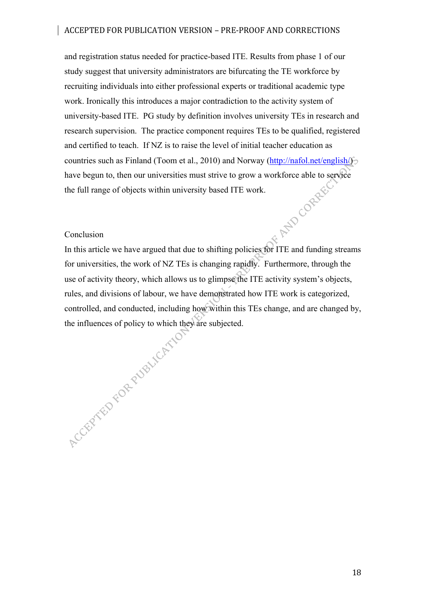and registration status needed for practice-based ITE. Results from phase 1 of our study suggest that university administrators are bifurcating the TE workforce by recruiting individuals into either professional experts or traditional academic type work. Ironically this introduces a major contradiction to the activity system of university-based ITE. PG study by definition involves university TEs in research and research supervision. The practice component requires TEs to be qualified, registered and certified to teach. If NZ is to raise the level of initial teacher education as countries such as Finland (Toom et al., 2010) and Norway (http://nafol.net/english/) have begun to, then our universities must strive to grow a workforce able to service<br>the full range of objects within university based ITE work.<br>Conclusion<br>In the the full range of objects within university based ITE work.

#### Conclusion

In this article we have argued that due to shifting policies for ITE and funding streams for universities, the work of NZ TEs is changing rapidly. Furthermore, through the use of activity theory, which allows us to glimpse the ITE activity system's objects, rules, and divisions of labour, we have demonstrated how ITE work is categorized, the influences of policy to which they are subjected.

controlled, and conducted, including how within this TEs change, and are changed by,<br>the influences of policy to which they are subjected.<br> $\frac{1}{2}$ 

18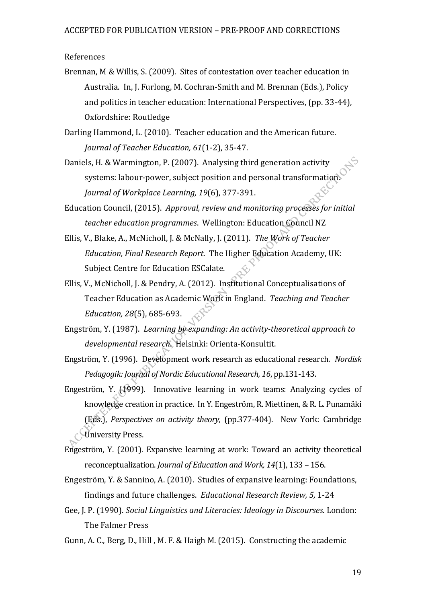References

Brennan, M & Willis, S. (2009). Sites of contestation over teacher education in Australia. In, J. Furlong, M. Cochran-Smith and M. Brennan (Eds.), Policy and politics in teacher education: International Perspectives, (pp. 33-44), Oxfordshire: Routledge

Darling Hammond, L. (2010). Teacher education and the American future. *Journal of Teacher Education, 61*(1-2), 35-47. 

Daniels, H. & Warmington, P. (2007). Analysing third generation activity systems: labour-power, subject position and personal transformation. *Journal of Workplace Learning, 19*(6), 377-391.

Education Council, (2015). Approval, review and monitoring processes for initial *teacher education programmes.* Wellington: Education Council NZ

- Ellis, V., Blake, A., McNicholl, J. & McNally, J. (2011). The Work of Teacher *Education, Final Research Report.* The Higher Education Academy, UK: Subject Centre for Education ESCalate.
- Ellis, V., McNicholl, J. & Pendry, A. (2012). Institutional Conceptualisations of Teacher Education as Academic Work in England. Teaching and Teacher *Education, 28*(5), 685-693.
- Engström, Y. (1987). *Learning by expanding: An activity-theoretical approach to developmental research*. Helsinki: Orienta-Konsultit.
- Engström, Y. (1996). Development work research as educational research. Nordisk *Pedagogik: Journal of Nordic Educational Research, 16, pp.131-143.*

Engeström, Y.  $(1999)$ . Innovative learning in work teams: Analyzing cycles of knowledge creation in practice. In Y. Engeström, R. Miettinen, & R. L. Punamäki (Eds.), *Perspectives on activity theory,* (pp.377-404). New York: Cambridge University Press.

- Engeström, Y. (2001). Expansive learning at work: Toward an activity theoretical reconceptualization. *Journal of Education and Work, 14*(1), 133 - 156.
- Engeström, Y. & Sannino, A. (2010). Studies of expansive learning: Foundations, findings and future challenges. *Educational Research Review, 5,* 1-24
- Gee, J. P. (1990). *Social Linguistics and Literacies: Ideology in Discourses*. London: The Falmer Press

Gunn, A. C., Berg, D., Hill, M. F. & Haigh M. (2015). Constructing the academic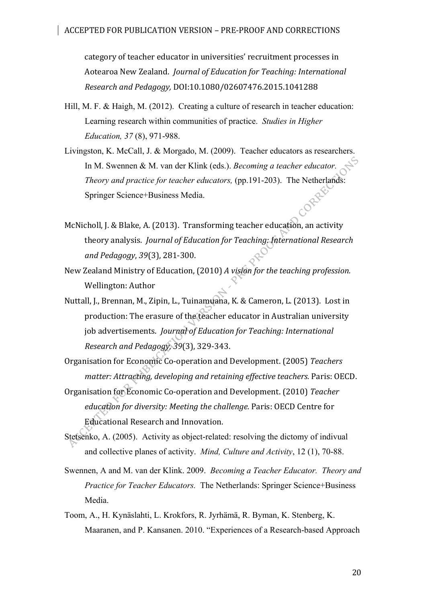category of teacher educator in universities' recruitment processes in Aotearoa New Zealand. *Journal of Education for Teaching: International Research and Pedagogy,* DOI:10.1080/02607476.2015.1041288

- Hill, M. F. & Haigh, M. (2012). Creating a culture of research in teacher education: Learning research within communities of practice. *Studies in Higher Education, 37* (8), 971-988.
- Livingston, K. McCall, J. & Morgado, M. (2009). Teacher educators as researchers. In M. Swennen & M. van der Klink (eds.). *Becoming a teacher educator. Theory and practice for teacher educators, (pp.191-203).* The Netherlands:<br>Springer Science+Business Media. Springer Science+Business Media.
- McNicholl, J. & Blake, A. (2013). Transforming teacher education, an activity theory analysis. *Journal of Education for Teaching: International Research and Pedagogy*, *39*(3), 281-300.
- New Zealand Ministry of Education, (2010) *A vision for the teaching profession.* Wellington: Author
- Nuttall, J., Brennan, M., Zipin, L., Tuinamuana, K. & Cameron, L. (2013). Lost in production: The erasure of the teacher educator in Australian university job advertisements. *Journal of Education for Teaching: International Research and Pedagogy, 39*(3), 329-343.
- Organisation for Economic Co-operation and Development. (2005) *Teachers matter: Attracting, developing and retaining effective teachers. Paris: OECD.*
- Organisation for Economic Co-operation and Development. (2010) *Teacher education for diversity: Meeting the challenge.* Paris: OECD Centre for Educational Research and Innovation.
- Stetsenko, A. (2005). Activity as object-related: resolving the dictomy of indivual and collective planes of activity. *Mind, Culture and Activity*, 12 (1), 70-88.
- Swennen, A and M. van der Klink. 2009. *Becoming a Teacher Educator. Theory and Practice for Teacher Educators.* The Netherlands: Springer Science+Business Media.
- Toom, A., H. Kynäslahti, L. Krokfors, R. Jyrhämä, R. Byman, K. Stenberg, K. Maaranen, and P. Kansanen. 2010. "Experiences of a Research-based Approach